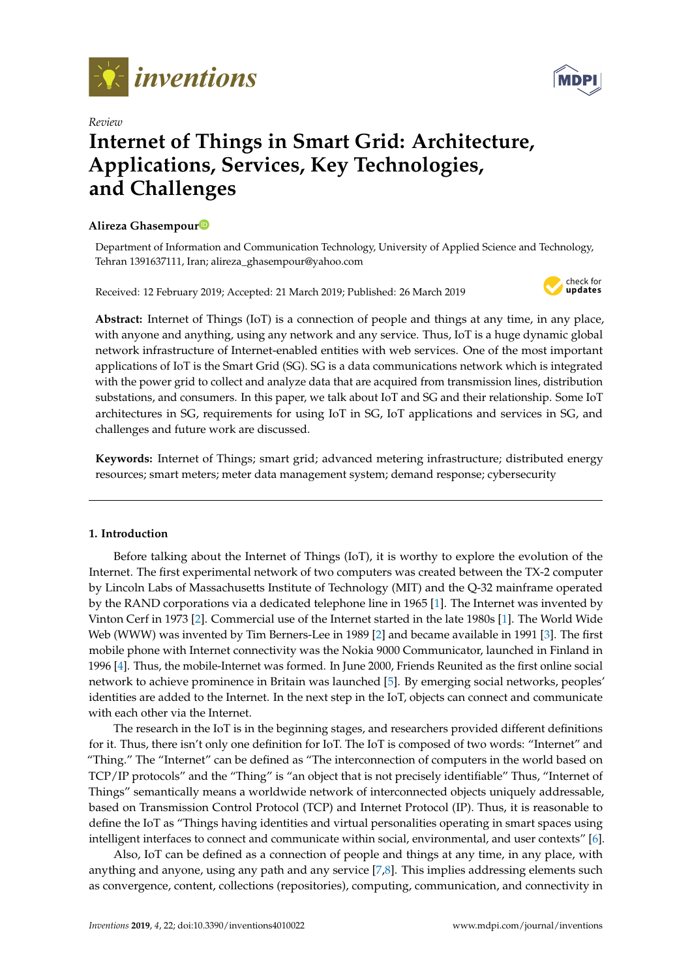



# *Review* **Internet of Things in Smart Grid: Architecture, Applications, Services, Key Technologies, and Challenges**

## **Alireza Ghasempou[r](https://orcid.org/0000-0001-8540-8846)**

Department of Information and Communication Technology, University of Applied Science and Technology, Tehran 1391637111, Iran; alireza\_ghasempour@yahoo.com

Received: 12 February 2019; Accepted: 21 March 2019; Published: 26 March 2019



**Abstract:** Internet of Things (IoT) is a connection of people and things at any time, in any place, with anyone and anything, using any network and any service. Thus, IoT is a huge dynamic global network infrastructure of Internet-enabled entities with web services. One of the most important applications of IoT is the Smart Grid (SG). SG is a data communications network which is integrated with the power grid to collect and analyze data that are acquired from transmission lines, distribution substations, and consumers. In this paper, we talk about IoT and SG and their relationship. Some IoT architectures in SG, requirements for using IoT in SG, IoT applications and services in SG, and challenges and future work are discussed.

**Keywords:** Internet of Things; smart grid; advanced metering infrastructure; distributed energy resources; smart meters; meter data management system; demand response; cybersecurity

## **1. Introduction**

Before talking about the Internet of Things (IoT), it is worthy to explore the evolution of the Internet. The first experimental network of two computers was created between the TX-2 computer by Lincoln Labs of Massachusetts Institute of Technology (MIT) and the Q-32 mainframe operated by the RAND corporations via a dedicated telephone line in 1965 [\[1\]](#page-8-0). The Internet was invented by Vinton Cerf in 1973 [\[2\]](#page-8-1). Commercial use of the Internet started in the late 1980s [\[1\]](#page-8-0). The World Wide Web (WWW) was invented by Tim Berners-Lee in 1989 [\[2\]](#page-8-1) and became available in 1991 [\[3\]](#page-8-2). The first mobile phone with Internet connectivity was the Nokia 9000 Communicator, launched in Finland in 1996 [\[4\]](#page-8-3). Thus, the mobile-Internet was formed. In June 2000, Friends Reunited as the first online social network to achieve prominence in Britain was launched [\[5\]](#page-8-4). By emerging social networks, peoples' identities are added to the Internet. In the next step in the IoT, objects can connect and communicate with each other via the Internet.

The research in the IoT is in the beginning stages, and researchers provided different definitions for it. Thus, there isn't only one definition for IoT. The IoT is composed of two words: "Internet" and "Thing." The "Internet" can be defined as "The interconnection of computers in the world based on TCP/IP protocols" and the "Thing" is "an object that is not precisely identifiable" Thus, "Internet of Things" semantically means a worldwide network of interconnected objects uniquely addressable, based on Transmission Control Protocol (TCP) and Internet Protocol (IP). Thus, it is reasonable to define the IoT as "Things having identities and virtual personalities operating in smart spaces using intelligent interfaces to connect and communicate within social, environmental, and user contexts" [\[6\]](#page-8-5).

Also, IoT can be defined as a connection of people and things at any time, in any place, with anything and anyone, using any path and any service [\[7,](#page-8-6)[8\]](#page-8-7). This implies addressing elements such as convergence, content, collections (repositories), computing, communication, and connectivity in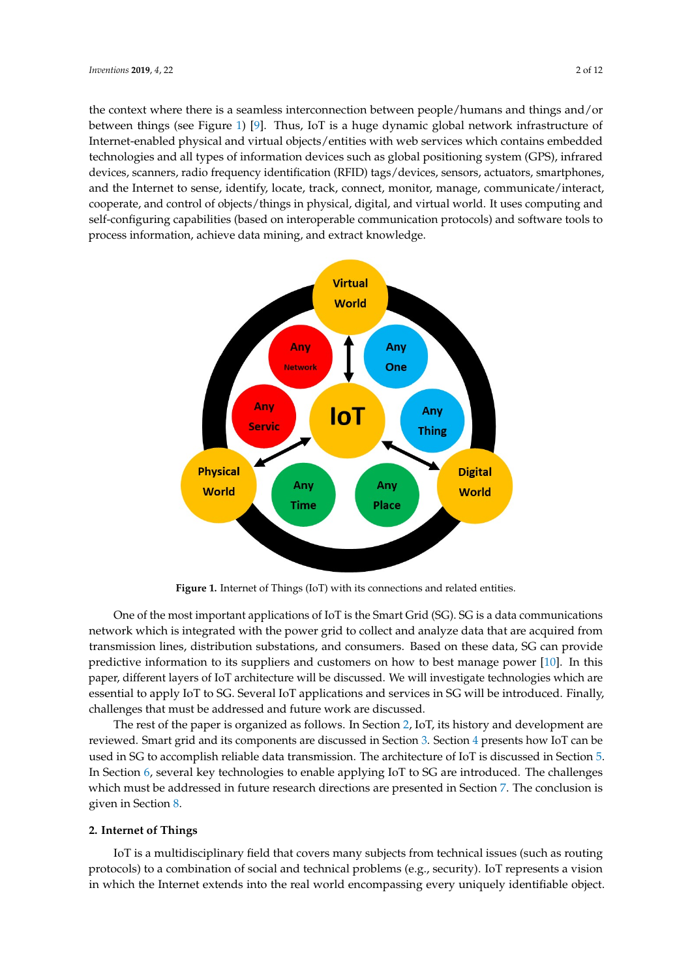the context where there is a seamless interconnection between people/humans and things and/or between things (see Figure 1) [9]. Thus, IoT is a huge dynamic global network infrastructure of Internet-enabled physical and virtual objects/entities with web services which contains embedded technologies and all types of information devices such as global positioning system (GPS), infrared devices, scanners, radio frequency identification (RFID) tags/devices, sensors, actuators, smartphones, and the Internet to sense, identify, locate, track, connect, monitor, manage, communicate/interact, cooperate, and control of objects/things in physical, digital, and virtual world. It uses computing and self-configuring capabilities (based on interoperable communication protocols) and software tools to process information, achieve data mining, and extract knowledge.

<span id="page-1-0"></span>

**Figure 1.** Internet of Things (IoT) with its connections and related entities.

One of the most important applications of IoT is the Smart Grid (SG). SG is a data communications network which is integrated with the power grid to collect and analyze data that are acquired from transmission lines, distribution substations, and consumers. Based on these data, SG can provide predictive information to its suppliers and customers on how to best manage power [\[10\]](#page-8-9). In this paper, different layers of IoT architecture will be discussed. We will investigate technologies which are essential to apply IoT to SG. Several IoT applications and services in SG will be introduced. Finally, challenges that must be addressed and future work are discussed.

The rest of the paper is organized as follows. In S[ect](#page-1-1)ion 2, IoT, its history and development are reviewed. Smart grid and its components are discussed in Section 3. Section 4 presents how [Io](#page-5-0)T can be used in SG to accomplish reliable data transmission. The architecture of IoT is discussed in Section 5. In Section [6,](#page-6-0) several key technologies to enable applying IoT to SG are introduced. The challenges which must be addressed in future research directions are presented in Section [7.](#page-7-0) The conclusion is given in Section [8.](#page-8-10)

#### <span id="page-1-1"></span> $I_{\text{max}}$  is a multiplier of  $\text{max}$  subsets from technical issues (such as routing as routing as routing as routing as routing as routing as routing as routing as routing as routing as routing as routing as routing as ro **2. Internet of Things**

IoT is a multidisciplinary field that covers many subjects from technical issues (such as routing protocols) to a combination of social and technical problems (e.g., security). IoT represents a vision in which the Internet extends into the real world encompassing every uniquely identifiable object.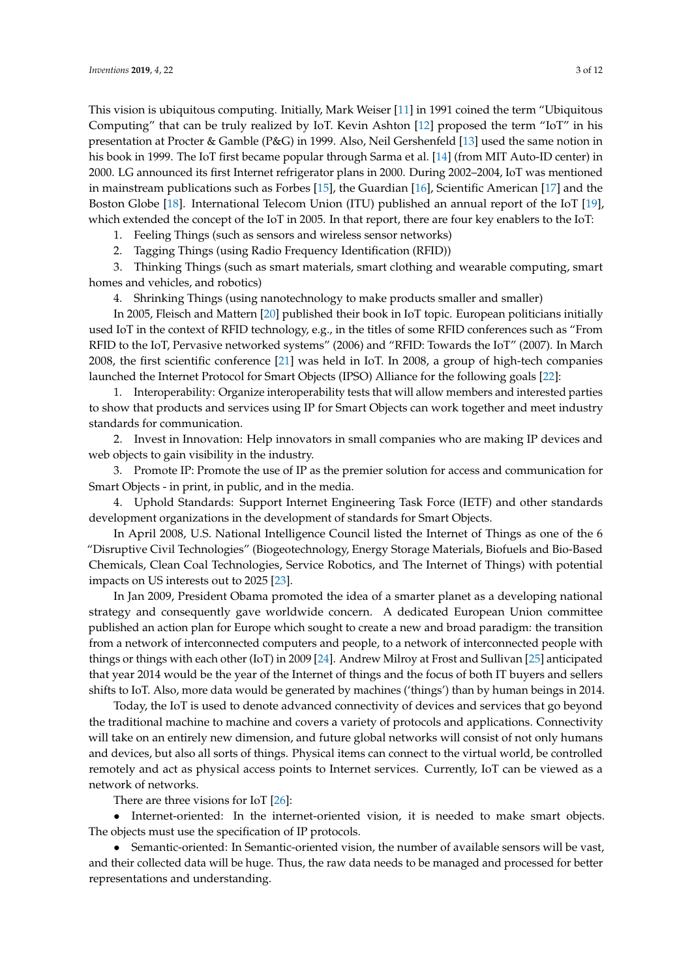This vision is ubiquitous computing. Initially, Mark Weiser [\[11\]](#page-8-11) in 1991 coined the term "Ubiquitous Computing" that can be truly realized by IoT. Kevin Ashton [\[12\]](#page-8-12) proposed the term "IoT" in his presentation at Procter & Gamble (P&G) in 1999. Also, Neil Gershenfeld [\[13\]](#page-8-13) used the same notion in his book in 1999. The IoT first became popular through Sarma et al. [\[14\]](#page-8-14) (from MIT Auto-ID center) in 2000. LG announced its first Internet refrigerator plans in 2000. During 2002–2004, IoT was mentioned in mainstream publications such as Forbes [\[15\]](#page-8-15), the Guardian [\[16\]](#page-9-0), Scientific American [\[17\]](#page-9-1) and the Boston Globe [\[18\]](#page-9-2). International Telecom Union (ITU) published an annual report of the IoT [\[19\]](#page-9-3), which extended the concept of the IoT in 2005. In that report, there are four key enablers to the IoT:

1. Feeling Things (such as sensors and wireless sensor networks)

2. Tagging Things (using Radio Frequency Identification (RFID))

3. Thinking Things (such as smart materials, smart clothing and wearable computing, smart homes and vehicles, and robotics)

4. Shrinking Things (using nanotechnology to make products smaller and smaller)

In 2005, Fleisch and Mattern [\[20\]](#page-9-4) published their book in IoT topic. European politicians initially used IoT in the context of RFID technology, e.g., in the titles of some RFID conferences such as "From RFID to the IoT, Pervasive networked systems" (2006) and "RFID: Towards the IoT" (2007). In March 2008, the first scientific conference [\[21\]](#page-9-5) was held in IoT. In 2008, a group of high-tech companies launched the Internet Protocol for Smart Objects (IPSO) Alliance for the following goals [\[22\]](#page-9-6):

1. Interoperability: Organize interoperability tests that will allow members and interested parties to show that products and services using IP for Smart Objects can work together and meet industry standards for communication.

2. Invest in Innovation: Help innovators in small companies who are making IP devices and web objects to gain visibility in the industry.

3. Promote IP: Promote the use of IP as the premier solution for access and communication for Smart Objects - in print, in public, and in the media.

4. Uphold Standards: Support Internet Engineering Task Force (IETF) and other standards development organizations in the development of standards for Smart Objects.

In April 2008, U.S. National Intelligence Council listed the Internet of Things as one of the 6 "Disruptive Civil Technologies" (Biogeotechnology, Energy Storage Materials, Biofuels and Bio-Based Chemicals, Clean Coal Technologies, Service Robotics, and The Internet of Things) with potential impacts on US interests out to 2025 [\[23\]](#page-9-7).

In Jan 2009, President Obama promoted the idea of a smarter planet as a developing national strategy and consequently gave worldwide concern. A dedicated European Union committee published an action plan for Europe which sought to create a new and broad paradigm: the transition from a network of interconnected computers and people, to a network of interconnected people with things or things with each other (IoT) in 2009 [\[24\]](#page-9-8). Andrew Milroy at Frost and Sullivan [\[25\]](#page-9-9) anticipated that year 2014 would be the year of the Internet of things and the focus of both IT buyers and sellers shifts to IoT. Also, more data would be generated by machines ('things') than by human beings in 2014.

Today, the IoT is used to denote advanced connectivity of devices and services that go beyond the traditional machine to machine and covers a variety of protocols and applications. Connectivity will take on an entirely new dimension, and future global networks will consist of not only humans and devices, but also all sorts of things. Physical items can connect to the virtual world, be controlled remotely and act as physical access points to Internet services. Currently, IoT can be viewed as a network of networks.

There are three visions for IoT [\[26\]](#page-9-10):

• Internet-oriented: In the internet-oriented vision, it is needed to make smart objects. The objects must use the specification of IP protocols.

• Semantic-oriented: In Semantic-oriented vision, the number of available sensors will be vast, and their collected data will be huge. Thus, the raw data needs to be managed and processed for better representations and understanding.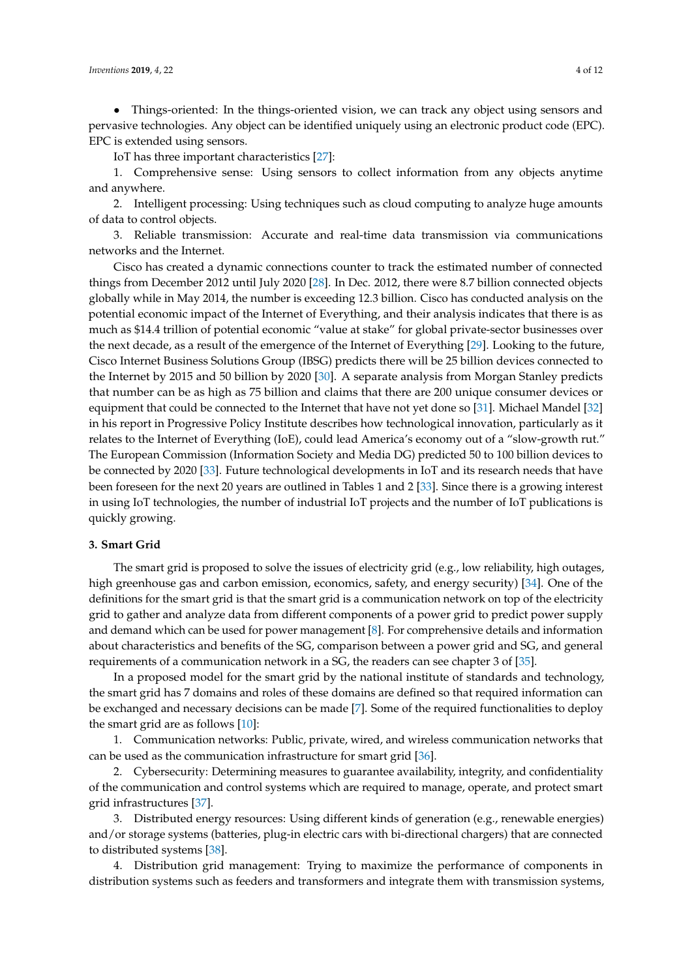• Things-oriented: In the things-oriented vision, we can track any object using sensors and pervasive technologies. Any object can be identified uniquely using an electronic product code (EPC). EPC is extended using sensors.

IoT has three important characteristics [\[27\]](#page-9-11):

1. Comprehensive sense: Using sensors to collect information from any objects anytime and anywhere.

2. Intelligent processing: Using techniques such as cloud computing to analyze huge amounts of data to control objects.

3. Reliable transmission: Accurate and real-time data transmission via communications networks and the Internet.

Cisco has created a dynamic connections counter to track the estimated number of connected things from December 2012 until July 2020 [\[28\]](#page-9-12). In Dec. 2012, there were 8.7 billion connected objects globally while in May 2014, the number is exceeding 12.3 billion. Cisco has conducted analysis on the potential economic impact of the Internet of Everything, and their analysis indicates that there is as much as \$14.4 trillion of potential economic "value at stake" for global private-sector businesses over the next decade, as a result of the emergence of the Internet of Everything [\[29\]](#page-9-13). Looking to the future, Cisco Internet Business Solutions Group (IBSG) predicts there will be 25 billion devices connected to the Internet by 2015 and 50 billion by 2020 [\[30\]](#page-9-14). A separate analysis from Morgan Stanley predicts that number can be as high as 75 billion and claims that there are 200 unique consumer devices or equipment that could be connected to the Internet that have not yet done so [\[31\]](#page-9-15). Michael Mandel [\[32\]](#page-9-16) in his report in Progressive Policy Institute describes how technological innovation, particularly as it relates to the Internet of Everything (IoE), could lead America's economy out of a "slow-growth rut." The European Commission (Information Society and Media DG) predicted 50 to 100 billion devices to be connected by 2020 [\[33\]](#page-9-17). Future technological developments in IoT and its research needs that have been foreseen for the next 20 years are outlined in Tables 1 and 2 [\[33\]](#page-9-17). Since there is a growing interest in using IoT technologies, the number of industrial IoT projects and the number of IoT publications is quickly growing.

## <span id="page-3-0"></span>**3. Smart Grid**

The smart grid is proposed to solve the issues of electricity grid (e.g., low reliability, high outages, high greenhouse gas and carbon emission, economics, safety, and energy security) [\[34\]](#page-9-18). One of the definitions for the smart grid is that the smart grid is a communication network on top of the electricity grid to gather and analyze data from different components of a power grid to predict power supply and demand which can be used for power management [\[8\]](#page-8-7). For comprehensive details and information about characteristics and benefits of the SG, comparison between a power grid and SG, and general requirements of a communication network in a SG, the readers can see chapter 3 of [\[35\]](#page-9-19).

In a proposed model for the smart grid by the national institute of standards and technology, the smart grid has 7 domains and roles of these domains are defined so that required information can be exchanged and necessary decisions can be made [\[7\]](#page-8-6). Some of the required functionalities to deploy the smart grid are as follows [\[10\]](#page-8-9):

1. Communication networks: Public, private, wired, and wireless communication networks that can be used as the communication infrastructure for smart grid [\[36\]](#page-9-20).

2. Cybersecurity: Determining measures to guarantee availability, integrity, and confidentiality of the communication and control systems which are required to manage, operate, and protect smart grid infrastructures [\[37\]](#page-10-0).

3. Distributed energy resources: Using different kinds of generation (e.g., renewable energies) and/or storage systems (batteries, plug-in electric cars with bi-directional chargers) that are connected to distributed systems [\[38\]](#page-10-1).

4. Distribution grid management: Trying to maximize the performance of components in distribution systems such as feeders and transformers and integrate them with transmission systems,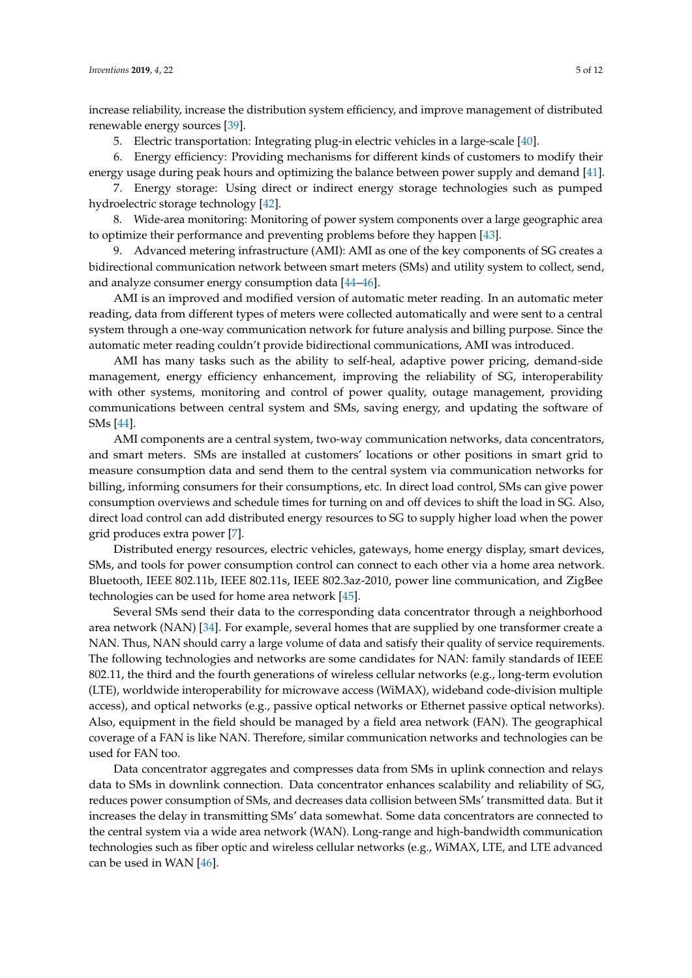increase reliability, increase the distribution system efficiency, and improve management of distributed renewable energy sources [\[39\]](#page-10-2).

5. Electric transportation: Integrating plug-in electric vehicles in a large-scale [\[40\]](#page-10-3).

6. Energy efficiency: Providing mechanisms for different kinds of customers to modify their energy usage during peak hours and optimizing the balance between power supply and demand [\[41\]](#page-10-4).

7. Energy storage: Using direct or indirect energy storage technologies such as pumped hydroelectric storage technology [\[42\]](#page-10-5).

8. Wide-area monitoring: Monitoring of power system components over a large geographic area to optimize their performance and preventing problems before they happen [\[43\]](#page-10-6).

9. Advanced metering infrastructure (AMI): AMI as one of the key components of SG creates a bidirectional communication network between smart meters (SMs) and utility system to collect, send, and analyze consumer energy consumption data [\[44](#page-10-7)[–46\]](#page-10-8).

AMI is an improved and modified version of automatic meter reading. In an automatic meter reading, data from different types of meters were collected automatically and were sent to a central system through a one-way communication network for future analysis and billing purpose. Since the automatic meter reading couldn't provide bidirectional communications, AMI was introduced.

AMI has many tasks such as the ability to self-heal, adaptive power pricing, demand-side management, energy efficiency enhancement, improving the reliability of SG, interoperability with other systems, monitoring and control of power quality, outage management, providing communications between central system and SMs, saving energy, and updating the software of SMs [\[44\]](#page-10-7).

AMI components are a central system, two-way communication networks, data concentrators, and smart meters. SMs are installed at customers' locations or other positions in smart grid to measure consumption data and send them to the central system via communication networks for billing, informing consumers for their consumptions, etc. In direct load control, SMs can give power consumption overviews and schedule times for turning on and off devices to shift the load in SG. Also, direct load control can add distributed energy resources to SG to supply higher load when the power grid produces extra power [\[7\]](#page-8-6).

Distributed energy resources, electric vehicles, gateways, home energy display, smart devices, SMs, and tools for power consumption control can connect to each other via a home area network. Bluetooth, IEEE 802.11b, IEEE 802.11s, IEEE 802.3az-2010, power line communication, and ZigBee technologies can be used for home area network [\[45\]](#page-10-9).

Several SMs send their data to the corresponding data concentrator through a neighborhood area network (NAN) [\[34\]](#page-9-18). For example, several homes that are supplied by one transformer create a NAN. Thus, NAN should carry a large volume of data and satisfy their quality of service requirements. The following technologies and networks are some candidates for NAN: family standards of IEEE 802.11, the third and the fourth generations of wireless cellular networks (e.g., long-term evolution (LTE), worldwide interoperability for microwave access (WiMAX), wideband code-division multiple access), and optical networks (e.g., passive optical networks or Ethernet passive optical networks). Also, equipment in the field should be managed by a field area network (FAN). The geographical coverage of a FAN is like NAN. Therefore, similar communication networks and technologies can be used for FAN too.

Data concentrator aggregates and compresses data from SMs in uplink connection and relays data to SMs in downlink connection. Data concentrator enhances scalability and reliability of SG, reduces power consumption of SMs, and decreases data collision between SMs' transmitted data. But it increases the delay in transmitting SMs' data somewhat. Some data concentrators are connected to the central system via a wide area network (WAN). Long-range and high-bandwidth communication technologies such as fiber optic and wireless cellular networks (e.g., WiMAX, LTE, and LTE advanced can be used in WAN [\[46\]](#page-10-8).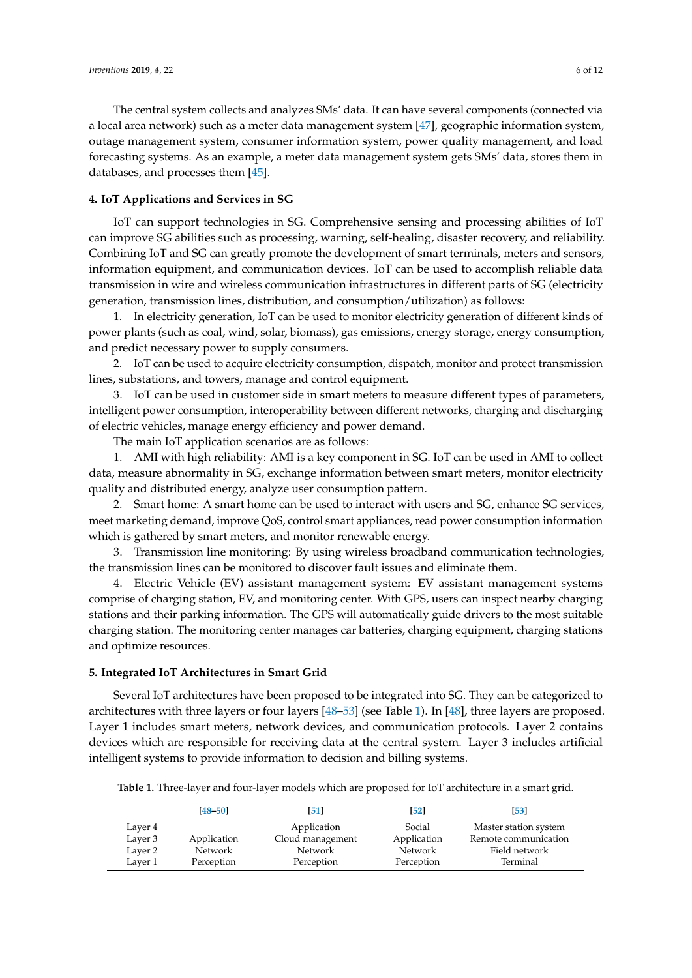The central system collects and analyzes SMs' data. It can have several components (connected via a local area network) such as a meter data management system [\[47\]](#page-10-10), geographic information system, outage management system, consumer information system, power quality management, and load forecasting systems. As an example, a meter data management system gets SMs' data, stores them in databases, and processes them [\[45\]](#page-10-9).

### <span id="page-5-0"></span>**4. IoT Applications and Services in SG**

IoT can support technologies in SG. Comprehensive sensing and processing abilities of IoT can improve SG abilities such as processing, warning, self-healing, disaster recovery, and reliability. Combining IoT and SG can greatly promote the development of smart terminals, meters and sensors, information equipment, and communication devices. IoT can be used to accomplish reliable data transmission in wire and wireless communication infrastructures in different parts of SG (electricity generation, transmission lines, distribution, and consumption/utilization) as follows:

1. In electricity generation, IoT can be used to monitor electricity generation of different kinds of power plants (such as coal, wind, solar, biomass), gas emissions, energy storage, energy consumption, and predict necessary power to supply consumers.

2. IoT can be used to acquire electricity consumption, dispatch, monitor and protect transmission lines, substations, and towers, manage and control equipment.

3. IoT can be used in customer side in smart meters to measure different types of parameters, intelligent power consumption, interoperability between different networks, charging and discharging of electric vehicles, manage energy efficiency and power demand.

The main IoT application scenarios are as follows:

1. AMI with high reliability: AMI is a key component in SG. IoT can be used in AMI to collect data, measure abnormality in SG, exchange information between smart meters, monitor electricity quality and distributed energy, analyze user consumption pattern.

2. Smart home: A smart home can be used to interact with users and SG, enhance SG services, meet marketing demand, improve QoS, control smart appliances, read power consumption information which is gathered by smart meters, and monitor renewable energy.

3. Transmission line monitoring: By using wireless broadband communication technologies, the transmission lines can be monitored to discover fault issues and eliminate them.

4. Electric Vehicle (EV) assistant management system: EV assistant management systems comprise of charging station, EV, and monitoring center. With GPS, users can inspect nearby charging stations and their parking information. The GPS will automatically guide drivers to the most suitable charging station. The monitoring center manages car batteries, charging equipment, charging stations and optimize resources.

#### <span id="page-5-1"></span>**5. Integrated IoT Architectures in Smart Grid**

Several IoT architectures have been proposed to be integrated into SG. They can be categorized to architectures with three layers or four layers [\[48](#page-10-11)[–53\]](#page-11-0) (see Table [1\)](#page-5-2). In [\[48\]](#page-10-11), three layers are proposed. Layer 1 includes smart meters, network devices, and communication protocols. Layer 2 contains devices which are responsible for receiving data at the central system. Layer 3 includes artificial intelligent systems to provide information to decision and billing systems.

<span id="page-5-2"></span>**Table 1.** Three-layer and four-layer models which are proposed for IoT architecture in a smart grid.

|         | $[48 - 50]$ | [51]             | $\sqrt{52}$ | [53]                  |
|---------|-------------|------------------|-------------|-----------------------|
| Layer 4 |             | Application      | Social      | Master station system |
| Layer 3 | Application | Cloud management | Application | Remote communication  |
| Laver 2 | Network     | Network          | Network     | Field network         |
| Laver 1 | Perception  | Perception       | Perception  | Terminal              |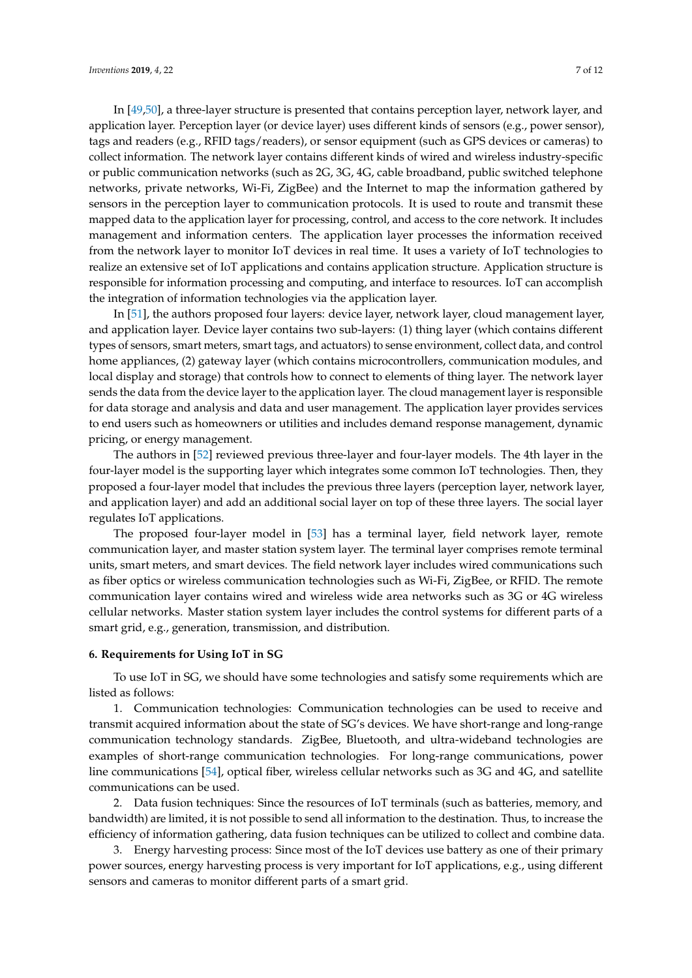In [\[49](#page-10-15)[,50\]](#page-10-12), a three-layer structure is presented that contains perception layer, network layer, and application layer. Perception layer (or device layer) uses different kinds of sensors (e.g., power sensor), tags and readers (e.g., RFID tags/readers), or sensor equipment (such as GPS devices or cameras) to collect information. The network layer contains different kinds of wired and wireless industry-specific or public communication networks (such as 2G, 3G, 4G, cable broadband, public switched telephone networks, private networks, Wi-Fi, ZigBee) and the Internet to map the information gathered by sensors in the perception layer to communication protocols. It is used to route and transmit these mapped data to the application layer for processing, control, and access to the core network. It includes management and information centers. The application layer processes the information received from the network layer to monitor IoT devices in real time. It uses a variety of IoT technologies to realize an extensive set of IoT applications and contains application structure. Application structure is responsible for information processing and computing, and interface to resources. IoT can accomplish the integration of information technologies via the application layer.

In [\[51\]](#page-10-13), the authors proposed four layers: device layer, network layer, cloud management layer, and application layer. Device layer contains two sub-layers: (1) thing layer (which contains different types of sensors, smart meters, smart tags, and actuators) to sense environment, collect data, and control home appliances, (2) gateway layer (which contains microcontrollers, communication modules, and local display and storage) that controls how to connect to elements of thing layer. The network layer sends the data from the device layer to the application layer. The cloud management layer is responsible for data storage and analysis and data and user management. The application layer provides services to end users such as homeowners or utilities and includes demand response management, dynamic pricing, or energy management.

The authors in [\[52\]](#page-10-14) reviewed previous three-layer and four-layer models. The 4th layer in the four-layer model is the supporting layer which integrates some common IoT technologies. Then, they proposed a four-layer model that includes the previous three layers (perception layer, network layer, and application layer) and add an additional social layer on top of these three layers. The social layer regulates IoT applications.

The proposed four-layer model in [\[53\]](#page-11-0) has a terminal layer, field network layer, remote communication layer, and master station system layer. The terminal layer comprises remote terminal units, smart meters, and smart devices. The field network layer includes wired communications such as fiber optics or wireless communication technologies such as Wi-Fi, ZigBee, or RFID. The remote communication layer contains wired and wireless wide area networks such as 3G or 4G wireless cellular networks. Master station system layer includes the control systems for different parts of a smart grid, e.g., generation, transmission, and distribution.

## <span id="page-6-0"></span>**6. Requirements for Using IoT in SG**

To use IoT in SG, we should have some technologies and satisfy some requirements which are listed as follows:

1. Communication technologies: Communication technologies can be used to receive and transmit acquired information about the state of SG's devices. We have short-range and long-range communication technology standards. ZigBee, Bluetooth, and ultra-wideband technologies are examples of short-range communication technologies. For long-range communications, power line communications [\[54\]](#page-11-1), optical fiber, wireless cellular networks such as 3G and 4G, and satellite communications can be used.

2. Data fusion techniques: Since the resources of IoT terminals (such as batteries, memory, and bandwidth) are limited, it is not possible to send all information to the destination. Thus, to increase the efficiency of information gathering, data fusion techniques can be utilized to collect and combine data.

3. Energy harvesting process: Since most of the IoT devices use battery as one of their primary power sources, energy harvesting process is very important for IoT applications, e.g., using different sensors and cameras to monitor different parts of a smart grid.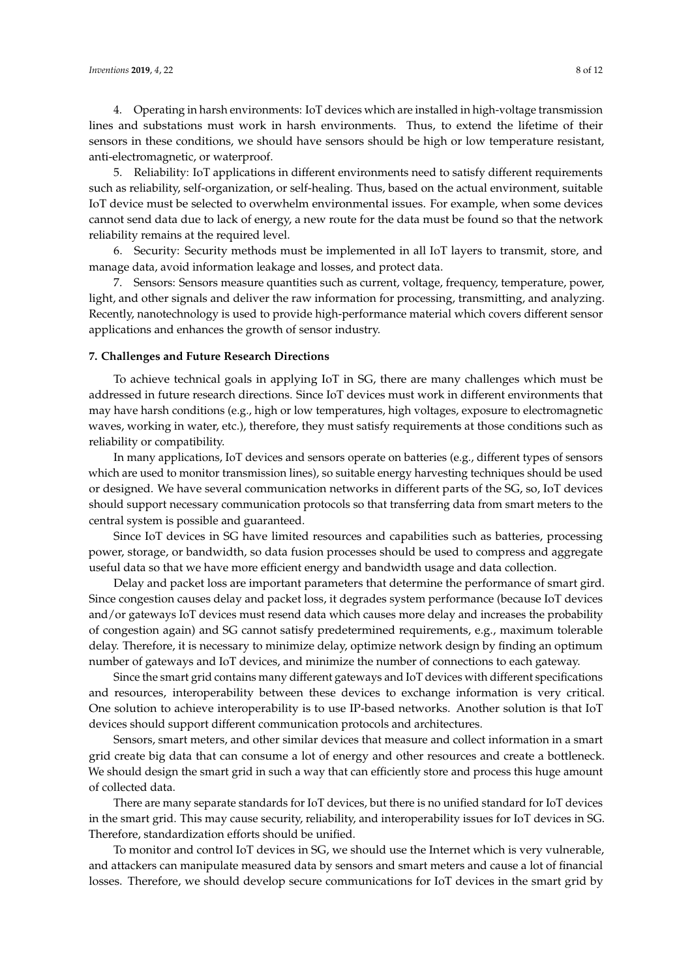4. Operating in harsh environments: IoT devices which are installed in high-voltage transmission lines and substations must work in harsh environments. Thus, to extend the lifetime of their sensors in these conditions, we should have sensors should be high or low temperature resistant, anti-electromagnetic, or waterproof.

5. Reliability: IoT applications in different environments need to satisfy different requirements such as reliability, self-organization, or self-healing. Thus, based on the actual environment, suitable IoT device must be selected to overwhelm environmental issues. For example, when some devices cannot send data due to lack of energy, a new route for the data must be found so that the network reliability remains at the required level.

6. Security: Security methods must be implemented in all IoT layers to transmit, store, and manage data, avoid information leakage and losses, and protect data.

7. Sensors: Sensors measure quantities such as current, voltage, frequency, temperature, power, light, and other signals and deliver the raw information for processing, transmitting, and analyzing. Recently, nanotechnology is used to provide high-performance material which covers different sensor applications and enhances the growth of sensor industry.

#### <span id="page-7-0"></span>**7. Challenges and Future Research Directions**

To achieve technical goals in applying IoT in SG, there are many challenges which must be addressed in future research directions. Since IoT devices must work in different environments that may have harsh conditions (e.g., high or low temperatures, high voltages, exposure to electromagnetic waves, working in water, etc.), therefore, they must satisfy requirements at those conditions such as reliability or compatibility.

In many applications, IoT devices and sensors operate on batteries (e.g., different types of sensors which are used to monitor transmission lines), so suitable energy harvesting techniques should be used or designed. We have several communication networks in different parts of the SG, so, IoT devices should support necessary communication protocols so that transferring data from smart meters to the central system is possible and guaranteed.

Since IoT devices in SG have limited resources and capabilities such as batteries, processing power, storage, or bandwidth, so data fusion processes should be used to compress and aggregate useful data so that we have more efficient energy and bandwidth usage and data collection.

Delay and packet loss are important parameters that determine the performance of smart gird. Since congestion causes delay and packet loss, it degrades system performance (because IoT devices and/or gateways IoT devices must resend data which causes more delay and increases the probability of congestion again) and SG cannot satisfy predetermined requirements, e.g., maximum tolerable delay. Therefore, it is necessary to minimize delay, optimize network design by finding an optimum number of gateways and IoT devices, and minimize the number of connections to each gateway.

Since the smart grid contains many different gateways and IoT devices with different specifications and resources, interoperability between these devices to exchange information is very critical. One solution to achieve interoperability is to use IP-based networks. Another solution is that IoT devices should support different communication protocols and architectures.

Sensors, smart meters, and other similar devices that measure and collect information in a smart grid create big data that can consume a lot of energy and other resources and create a bottleneck. We should design the smart grid in such a way that can efficiently store and process this huge amount of collected data.

There are many separate standards for IoT devices, but there is no unified standard for IoT devices in the smart grid. This may cause security, reliability, and interoperability issues for IoT devices in SG. Therefore, standardization efforts should be unified.

To monitor and control IoT devices in SG, we should use the Internet which is very vulnerable, and attackers can manipulate measured data by sensors and smart meters and cause a lot of financial losses. Therefore, we should develop secure communications for IoT devices in the smart grid by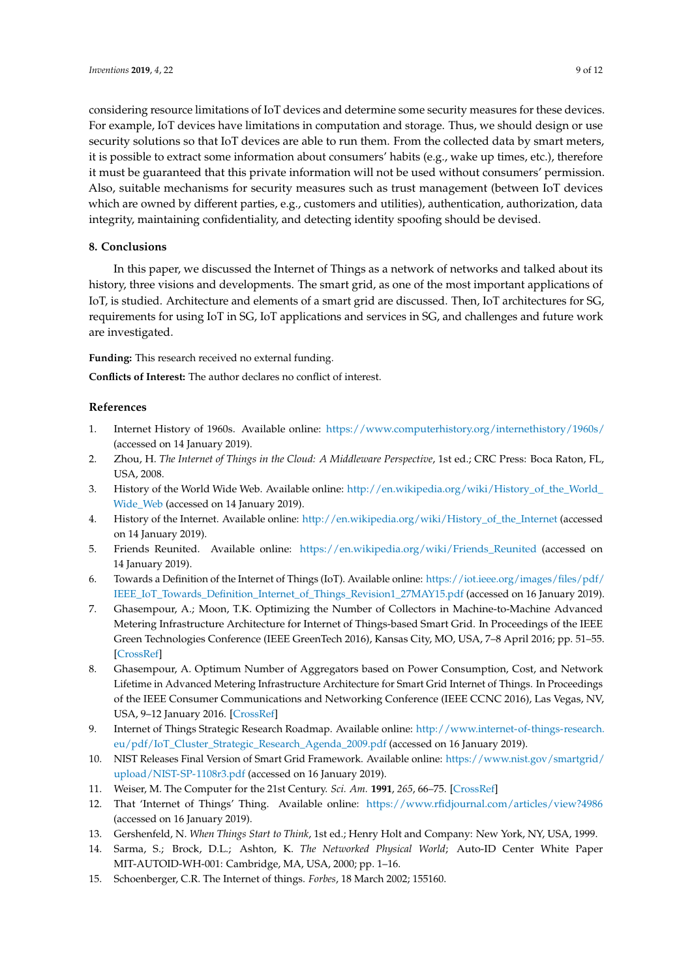considering resource limitations of IoT devices and determine some security measures for these devices. For example, IoT devices have limitations in computation and storage. Thus, we should design or use security solutions so that IoT devices are able to run them. From the collected data by smart meters, it is possible to extract some information about consumers' habits (e.g., wake up times, etc.), therefore it must be guaranteed that this private information will not be used without consumers' permission. Also, suitable mechanisms for security measures such as trust management (between IoT devices which are owned by different parties, e.g., customers and utilities), authentication, authorization, data integrity, maintaining confidentiality, and detecting identity spoofing should be devised.

## <span id="page-8-10"></span>**8. Conclusions**

In this paper, we discussed the Internet of Things as a network of networks and talked about its history, three visions and developments. The smart grid, as one of the most important applications of IoT, is studied. Architecture and elements of a smart grid are discussed. Then, IoT architectures for SG, requirements for using IoT in SG, IoT applications and services in SG, and challenges and future work are investigated.

**Funding:** This research received no external funding.

**Conflicts of Interest:** The author declares no conflict of interest.

## **References**

- <span id="page-8-0"></span>1. Internet History of 1960s. Available online: <https://www.computerhistory.org/internethistory/1960s/> (accessed on 14 January 2019).
- <span id="page-8-1"></span>2. Zhou, H. *The Internet of Things in the Cloud: A Middleware Perspective*, 1st ed.; CRC Press: Boca Raton, FL, USA, 2008.
- <span id="page-8-2"></span>3. History of the World Wide Web. Available online: [http://en.wikipedia.org/wiki/History\\_of\\_the\\_World\\_](http://en.wikipedia.org/wiki/History_of_the_World_Wide_Web) [Wide\\_Web](http://en.wikipedia.org/wiki/History_of_the_World_Wide_Web) (accessed on 14 January 2019).
- <span id="page-8-3"></span>4. History of the Internet. Available online: [http://en.wikipedia.org/wiki/History\\_of\\_the\\_Internet](http://en.wikipedia.org/wiki/History_of_the_Internet) (accessed on 14 January 2019).
- <span id="page-8-4"></span>5. Friends Reunited. Available online: [https://en.wikipedia.org/wiki/Friends\\_Reunited](https://en.wikipedia.org/wiki/Friends_Reunited) (accessed on 14 January 2019).
- <span id="page-8-5"></span>6. Towards a Definition of the Internet of Things (IoT). Available online: [https://iot.ieee.org/images/files/pdf/](https://iot.ieee.org/images/files/pdf/IEEE_IoT_Towards_Definition_Internet_of_Things_Revision1_27MAY15.pdf) [IEEE\\_IoT\\_Towards\\_Definition\\_Internet\\_of\\_Things\\_Revision1\\_27MAY15.pdf](https://iot.ieee.org/images/files/pdf/IEEE_IoT_Towards_Definition_Internet_of_Things_Revision1_27MAY15.pdf) (accessed on 16 January 2019).
- <span id="page-8-6"></span>7. Ghasempour, A.; Moon, T.K. Optimizing the Number of Collectors in Machine-to-Machine Advanced Metering Infrastructure Architecture for Internet of Things-based Smart Grid. In Proceedings of the IEEE Green Technologies Conference (IEEE GreenTech 2016), Kansas City, MO, USA, 7–8 April 2016; pp. 51–55. [\[CrossRef\]](http://dx.doi.org/10.1109/GreenTech.2016.17)
- <span id="page-8-7"></span>8. Ghasempour, A. Optimum Number of Aggregators based on Power Consumption, Cost, and Network Lifetime in Advanced Metering Infrastructure Architecture for Smart Grid Internet of Things. In Proceedings of the IEEE Consumer Communications and Networking Conference (IEEE CCNC 2016), Las Vegas, NV, USA, 9–12 January 2016. [\[CrossRef\]](http://dx.doi.org/10.1109/CCNC.2016.7444787)
- <span id="page-8-8"></span>9. Internet of Things Strategic Research Roadmap. Available online: [http://www.internet-of-things-research.](http://www.internet-of-things-research.eu/pdf/IoT_Cluster_Strategic_Research_Agenda_2009.pdf) [eu/pdf/IoT\\_Cluster\\_Strategic\\_Research\\_Agenda\\_2009.pdf](http://www.internet-of-things-research.eu/pdf/IoT_Cluster_Strategic_Research_Agenda_2009.pdf) (accessed on 16 January 2019).
- <span id="page-8-9"></span>10. NIST Releases Final Version of Smart Grid Framework. Available online: [https://www.nist.gov/smartgrid/](https://www.nist.gov/smartgrid/upload/NIST-SP-1108r3.pdf) [upload/NIST-SP-1108r3.pdf](https://www.nist.gov/smartgrid/upload/NIST-SP-1108r3.pdf) (accessed on 16 January 2019).
- <span id="page-8-11"></span>11. Weiser, M. The Computer for the 21st Century. *Sci. Am.* **1991**, *265*, 66–75. [\[CrossRef\]](http://dx.doi.org/10.1038/scientificamerican0991-94)
- <span id="page-8-12"></span>12. That 'Internet of Things' Thing. Available online: <https://www.rfidjournal.com/articles/view?4986> (accessed on 16 January 2019).
- <span id="page-8-13"></span>13. Gershenfeld, N. *When Things Start to Think*, 1st ed.; Henry Holt and Company: New York, NY, USA, 1999.
- <span id="page-8-14"></span>14. Sarma, S.; Brock, D.L.; Ashton, K. *The Networked Physical World*; Auto-ID Center White Paper MIT-AUTOID-WH-001: Cambridge, MA, USA, 2000; pp. 1–16.
- <span id="page-8-15"></span>15. Schoenberger, C.R. The Internet of things. *Forbes*, 18 March 2002; 155160.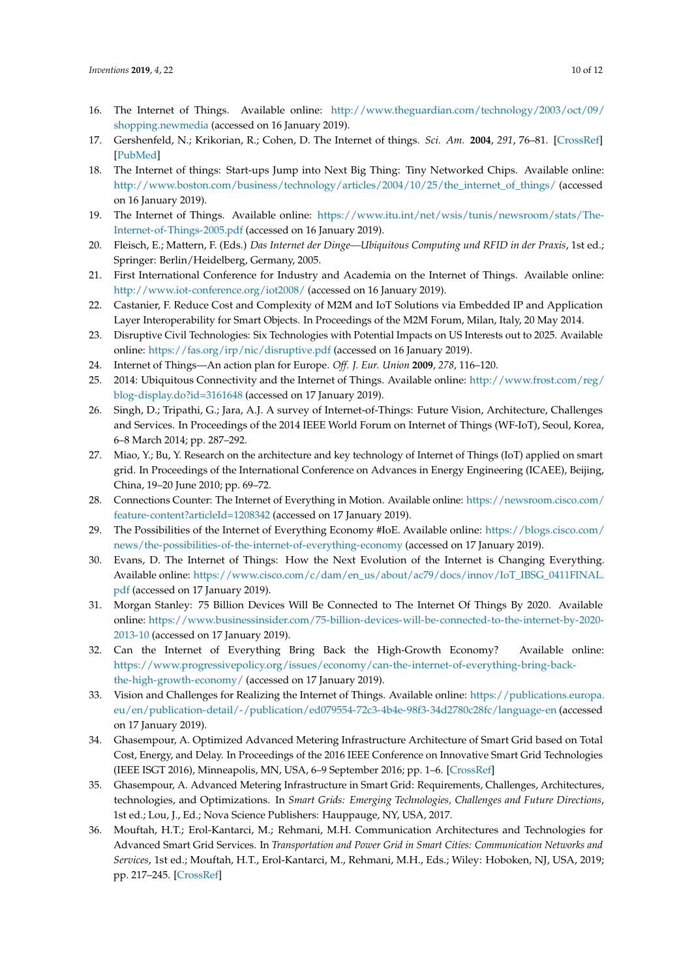- <span id="page-9-0"></span>16. The Internet of Things. Available online: [http://www.theguardian.com/technology/2003/oct/09/](http://www.theguardian.com/technology/2003/oct/09/shopping.newmedia) [shopping.newmedia](http://www.theguardian.com/technology/2003/oct/09/shopping.newmedia) (accessed on 16 January 2019).
- <span id="page-9-1"></span>17. Gershenfeld, N.; Krikorian, R.; Cohen, D. The Internet of things. *Sci. Am.* **2004**, *291*, 76–81. [\[CrossRef\]](http://dx.doi.org/10.1038/scientificamerican1004-76) [\[PubMed\]](http://www.ncbi.nlm.nih.gov/pubmed/15487673)
- <span id="page-9-2"></span>18. The Internet of things: Start-ups Jump into Next Big Thing: Tiny Networked Chips. Available online: [http://www.boston.com/business/technology/articles/2004/10/25/the\\_internet\\_of\\_things/](http://www.boston.com/business/technology/articles/2004/10/25/the_internet_of_things/) (accessed on 16 January 2019).
- <span id="page-9-3"></span>19. The Internet of Things. Available online: [https://www.itu.int/net/wsis/tunis/newsroom/stats/The-](https://www.itu.int/net/wsis/tunis/newsroom/stats/The-Internet-of-Things-2005.pdf)[Internet-of-Things-2005.pdf](https://www.itu.int/net/wsis/tunis/newsroom/stats/The-Internet-of-Things-2005.pdf) (accessed on 16 January 2019).
- <span id="page-9-4"></span>20. Fleisch, E.; Mattern, F. (Eds.) *Das Internet der Dinge—Ubiquitous Computing und RFID in der Praxis*, 1st ed.; Springer: Berlin/Heidelberg, Germany, 2005.
- <span id="page-9-5"></span>21. First International Conference for Industry and Academia on the Internet of Things. Available online: <http://www.iot-conference.org/iot2008/> (accessed on 16 January 2019).
- <span id="page-9-6"></span>22. Castanier, F. Reduce Cost and Complexity of M2M and IoT Solutions via Embedded IP and Application Layer Interoperability for Smart Objects. In Proceedings of the M2M Forum, Milan, Italy, 20 May 2014.
- <span id="page-9-7"></span>23. Disruptive Civil Technologies: Six Technologies with Potential Impacts on US Interests out to 2025. Available online: <https://fas.org/irp/nic/disruptive.pdf> (accessed on 16 January 2019).
- <span id="page-9-8"></span>24. Internet of Things—An action plan for Europe. *Off. J. Eur. Union* **2009**, *278*, 116–120.
- <span id="page-9-9"></span>25. 2014: Ubiquitous Connectivity and the Internet of Things. Available online: [http://www.frost.com/reg/](http://www.frost.com/reg/blog-display.do?id=3161648) [blog-display.do?id=3161648](http://www.frost.com/reg/blog-display.do?id=3161648) (accessed on 17 January 2019).
- <span id="page-9-10"></span>26. Singh, D.; Tripathi, G.; Jara, A.J. A survey of Internet-of-Things: Future Vision, Architecture, Challenges and Services. In Proceedings of the 2014 IEEE World Forum on Internet of Things (WF-IoT), Seoul, Korea, 6–8 March 2014; pp. 287–292.
- <span id="page-9-11"></span>27. Miao, Y.; Bu, Y. Research on the architecture and key technology of Internet of Things (IoT) applied on smart grid. In Proceedings of the International Conference on Advances in Energy Engineering (ICAEE), Beijing, China, 19–20 June 2010; pp. 69–72.
- <span id="page-9-12"></span>28. Connections Counter: The Internet of Everything in Motion. Available online: [https://newsroom.cisco.com/](https://newsroom.cisco.com/feature-content?articleId=1208342) [feature-content?articleId=1208342](https://newsroom.cisco.com/feature-content?articleId=1208342) (accessed on 17 January 2019).
- <span id="page-9-13"></span>29. The Possibilities of the Internet of Everything Economy #IoE. Available online: [https://blogs.cisco.com/](https://blogs.cisco.com/news/the-possibilities-of-the-internet-of-everything-economy) [news/the-possibilities-of-the-internet-of-everything-economy](https://blogs.cisco.com/news/the-possibilities-of-the-internet-of-everything-economy) (accessed on 17 January 2019).
- <span id="page-9-14"></span>30. Evans, D. The Internet of Things: How the Next Evolution of the Internet is Changing Everything. Available online: [https://www.cisco.com/c/dam/en\\_us/about/ac79/docs/innov/IoT\\_IBSG\\_0411FINAL.](https://www.cisco.com/c/dam/en_us/about/ac79/docs/innov/IoT_IBSG_0411FINAL.pdf) [pdf](https://www.cisco.com/c/dam/en_us/about/ac79/docs/innov/IoT_IBSG_0411FINAL.pdf) (accessed on 17 January 2019).
- <span id="page-9-15"></span>31. Morgan Stanley: 75 Billion Devices Will Be Connected to The Internet Of Things By 2020. Available online: [https://www.businessinsider.com/75-billion-devices-will-be-connected-to-the-internet-by-2020-](https://www.businessinsider.com/75-billion-devices-will-be-connected-to-the-internet-by-2020-2013-10) [2013-10](https://www.businessinsider.com/75-billion-devices-will-be-connected-to-the-internet-by-2020-2013-10) (accessed on 17 January 2019).
- <span id="page-9-16"></span>32. Can the Internet of Everything Bring Back the High-Growth Economy? Available online: [https://www.progressivepolicy.org/issues/economy/can-the-internet-of-everything-bring-back](https://www.progressivepolicy.org/issues/economy/can-the-internet-of-everything-bring-back-the-high-growth-economy/)[the-high-growth-economy/](https://www.progressivepolicy.org/issues/economy/can-the-internet-of-everything-bring-back-the-high-growth-economy/) (accessed on 17 January 2019).
- <span id="page-9-17"></span>33. Vision and Challenges for Realizing the Internet of Things. Available online: [https://publications.europa.](https://publications.europa.eu/en/publication-detail/-/publication/ed079554-72c3-4b4e-98f3-34d2780c28fc/language-en) [eu/en/publication-detail/-/publication/ed079554-72c3-4b4e-98f3-34d2780c28fc/language-en](https://publications.europa.eu/en/publication-detail/-/publication/ed079554-72c3-4b4e-98f3-34d2780c28fc/language-en) (accessed on 17 January 2019).
- <span id="page-9-18"></span>34. Ghasempour, A. Optimized Advanced Metering Infrastructure Architecture of Smart Grid based on Total Cost, Energy, and Delay. In Proceedings of the 2016 IEEE Conference on Innovative Smart Grid Technologies (IEEE ISGT 2016), Minneapolis, MN, USA, 6–9 September 2016; pp. 1–6. [\[CrossRef\]](http://dx.doi.org/10.1109/ISGT.2016.7781250)
- <span id="page-9-19"></span>35. Ghasempour, A. Advanced Metering Infrastructure in Smart Grid: Requirements, Challenges, Architectures, technologies, and Optimizations. In *Smart Grids: Emerging Technologies, Challenges and Future Directions*, 1st ed.; Lou, J., Ed.; Nova Science Publishers: Hauppauge, NY, USA, 2017.
- <span id="page-9-20"></span>36. Mouftah, H.T.; Erol-Kantarci, M.; Rehmani, M.H. Communication Architectures and Technologies for Advanced Smart Grid Services. In *Transportation and Power Grid in Smart Cities: Communication Networks and Services*, 1st ed.; Mouftah, H.T., Erol-Kantarci, M., Rehmani, M.H., Eds.; Wiley: Hoboken, NJ, USA, 2019; pp. 217–245. [\[CrossRef\]](http://dx.doi.org/10.1002/9781119360124.ch8)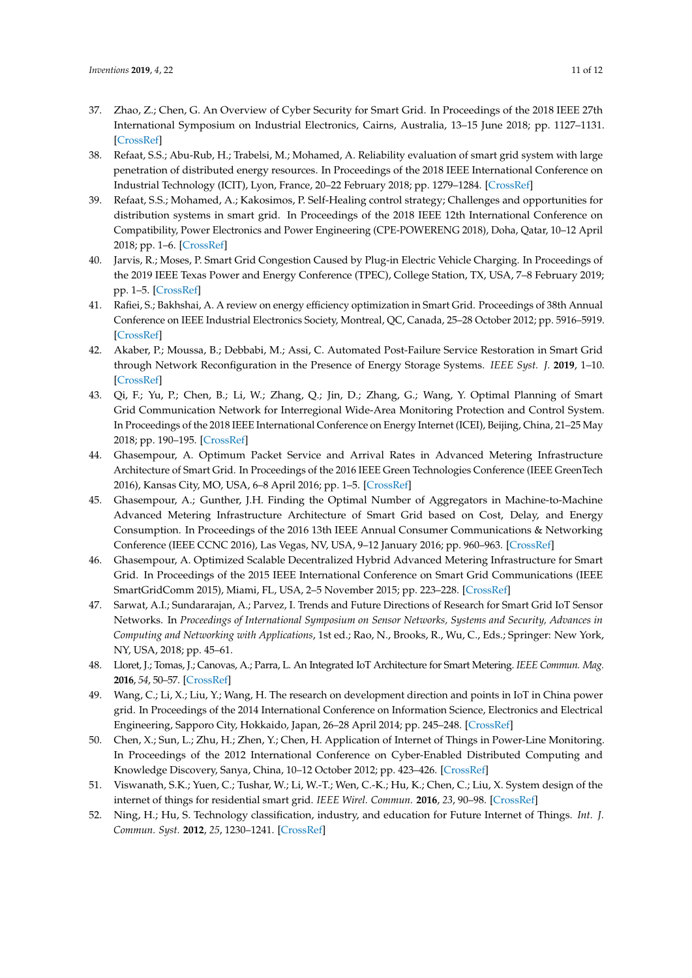- <span id="page-10-0"></span>37. Zhao, Z.; Chen, G. An Overview of Cyber Security for Smart Grid. In Proceedings of the 2018 IEEE 27th International Symposium on Industrial Electronics, Cairns, Australia, 13–15 June 2018; pp. 1127–1131. [\[CrossRef\]](http://dx.doi.org/10.1109/ISIE.2018.8433816)
- <span id="page-10-1"></span>38. Refaat, S.S.; Abu-Rub, H.; Trabelsi, M.; Mohamed, A. Reliability evaluation of smart grid system with large penetration of distributed energy resources. In Proceedings of the 2018 IEEE International Conference on Industrial Technology (ICIT), Lyon, France, 20–22 February 2018; pp. 1279–1284. [\[CrossRef\]](http://dx.doi.org/10.1109/ICIT.2018.8352362)
- <span id="page-10-2"></span>39. Refaat, S.S.; Mohamed, A.; Kakosimos, P. Self-Healing control strategy; Challenges and opportunities for distribution systems in smart grid. In Proceedings of the 2018 IEEE 12th International Conference on Compatibility, Power Electronics and Power Engineering (CPE-POWERENG 2018), Doha, Qatar, 10–12 April 2018; pp. 1–6. [\[CrossRef\]](http://dx.doi.org/10.1109/CPE.2018.8372610)
- <span id="page-10-3"></span>40. Jarvis, R.; Moses, P. Smart Grid Congestion Caused by Plug-in Electric Vehicle Charging. In Proceedings of the 2019 IEEE Texas Power and Energy Conference (TPEC), College Station, TX, USA, 7–8 February 2019; pp. 1–5. [\[CrossRef\]](http://dx.doi.org/10.1109/TPEC.2019.8662152)
- <span id="page-10-4"></span>41. Rafiei, S.; Bakhshai, A. A review on energy efficiency optimization in Smart Grid. Proceedings of 38th Annual Conference on IEEE Industrial Electronics Society, Montreal, QC, Canada, 25–28 October 2012; pp. 5916–5919. [\[CrossRef\]](http://dx.doi.org/10.1109/IECON.2012.6389115)
- <span id="page-10-5"></span>42. Akaber, P.; Moussa, B.; Debbabi, M.; Assi, C. Automated Post-Failure Service Restoration in Smart Grid through Network Reconfiguration in the Presence of Energy Storage Systems. *IEEE Syst. J.* **2019**, 1–10. [\[CrossRef\]](http://dx.doi.org/10.1109/JSYST.2019.2892581)
- <span id="page-10-6"></span>43. Qi, F.; Yu, P.; Chen, B.; Li, W.; Zhang, Q.; Jin, D.; Zhang, G.; Wang, Y. Optimal Planning of Smart Grid Communication Network for Interregional Wide-Area Monitoring Protection and Control System. In Proceedings of the 2018 IEEE International Conference on Energy Internet (ICEI), Beijing, China, 21–25 May 2018; pp. 190–195. [\[CrossRef\]](http://dx.doi.org/10.1109/ICEI.2018.00042)
- <span id="page-10-7"></span>44. Ghasempour, A. Optimum Packet Service and Arrival Rates in Advanced Metering Infrastructure Architecture of Smart Grid. In Proceedings of the 2016 IEEE Green Technologies Conference (IEEE GreenTech 2016), Kansas City, MO, USA, 6–8 April 2016; pp. 1–5. [\[CrossRef\]](http://dx.doi.org/10.1109/GreenTech.2016.8)
- <span id="page-10-9"></span>45. Ghasempour, A.; Gunther, J.H. Finding the Optimal Number of Aggregators in Machine-to-Machine Advanced Metering Infrastructure Architecture of Smart Grid based on Cost, Delay, and Energy Consumption. In Proceedings of the 2016 13th IEEE Annual Consumer Communications & Networking Conference (IEEE CCNC 2016), Las Vegas, NV, USA, 9–12 January 2016; pp. 960–963. [\[CrossRef\]](http://dx.doi.org/10.1109/CCNC.2016.7444917)
- <span id="page-10-8"></span>46. Ghasempour, A. Optimized Scalable Decentralized Hybrid Advanced Metering Infrastructure for Smart Grid. In Proceedings of the 2015 IEEE International Conference on Smart Grid Communications (IEEE SmartGridComm 2015), Miami, FL, USA, 2–5 November 2015; pp. 223–228. [\[CrossRef\]](http://dx.doi.org/10.1109/SmartGridComm.2015.7436304)
- <span id="page-10-10"></span>47. Sarwat, A.I.; Sundararajan, A.; Parvez, I. Trends and Future Directions of Research for Smart Grid IoT Sensor Networks. In *Proceedings of International Symposium on Sensor Networks, Systems and Security, Advances in Computing and Networking with Applications*, 1st ed.; Rao, N., Brooks, R., Wu, C., Eds.; Springer: New York, NY, USA, 2018; pp. 45–61.
- <span id="page-10-11"></span>48. Lloret, J.; Tomas, J.; Canovas, A.; Parra, L. An Integrated IoT Architecture for Smart Metering. *IEEE Commun. Mag.* **2016**, *54*, 50–57. [\[CrossRef\]](http://dx.doi.org/10.1109/MCOM.2016.1600647CM)
- <span id="page-10-15"></span>49. Wang, C.; Li, X.; Liu, Y.; Wang, H. The research on development direction and points in IoT in China power grid. In Proceedings of the 2014 International Conference on Information Science, Electronics and Electrical Engineering, Sapporo City, Hokkaido, Japan, 26–28 April 2014; pp. 245–248. [\[CrossRef\]](http://dx.doi.org/10.1109/InfoSEEE.2014.6948106)
- <span id="page-10-12"></span>50. Chen, X.; Sun, L.; Zhu, H.; Zhen, Y.; Chen, H. Application of Internet of Things in Power-Line Monitoring. In Proceedings of the 2012 International Conference on Cyber-Enabled Distributed Computing and Knowledge Discovery, Sanya, China, 10–12 October 2012; pp. 423–426. [\[CrossRef\]](http://dx.doi.org/10.1109/CyberC.2012.77)
- <span id="page-10-13"></span>51. Viswanath, S.K.; Yuen, C.; Tushar, W.; Li, W.-T.; Wen, C.-K.; Hu, K.; Chen, C.; Liu, X. System design of the internet of things for residential smart grid. *IEEE Wirel. Commun.* **2016**, *23*, 90–98. [\[CrossRef\]](http://dx.doi.org/10.1109/MWC.2016.7721747)
- <span id="page-10-14"></span>52. Ning, H.; Hu, S. Technology classification, industry, and education for Future Internet of Things. *Int. J. Commun. Syst.* **2012**, *25*, 1230–1241. [\[CrossRef\]](http://dx.doi.org/10.1002/dac.2373)